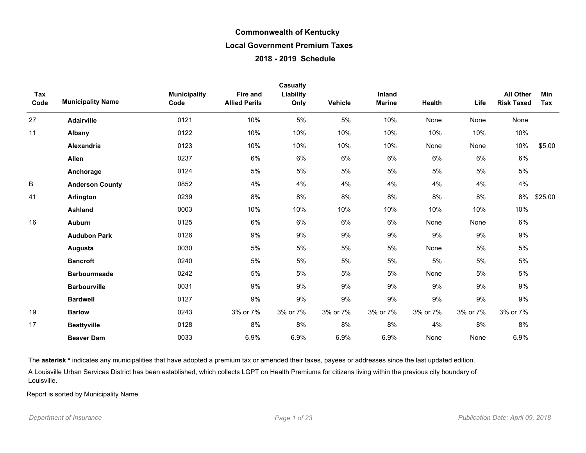| Tax  |                          | <b>Municipality</b> | Fire and             | <b>Casualty</b><br>Liability |          | Inland        |          |          | <b>All Other</b>  | Min     |
|------|--------------------------|---------------------|----------------------|------------------------------|----------|---------------|----------|----------|-------------------|---------|
| Code | <b>Municipality Name</b> | Code                | <b>Allied Perils</b> | Only                         | Vehicle  | <b>Marine</b> | Health   | Life     | <b>Risk Taxed</b> | Tax     |
| 27   | <b>Adairville</b>        | 0121                | 10%                  | 5%                           | 5%       | 10%           | None     | None     | None              |         |
| 11   | Albany                   | 0122                | 10%                  | 10%                          | 10%      | 10%           | 10%      | 10%      | 10%               |         |
|      | <b>Alexandria</b>        | 0123                | 10%                  | 10%                          | 10%      | 10%           | None     | None     | 10%               | \$5.00  |
|      | Allen                    | 0237                | 6%                   | 6%                           | 6%       | 6%            | 6%       | 6%       | 6%                |         |
|      | Anchorage                | 0124                | 5%                   | 5%                           | 5%       | 5%            | 5%       | 5%       | 5%                |         |
| B    | <b>Anderson County</b>   | 0852                | 4%                   | 4%                           | 4%       | 4%            | 4%       | 4%       | 4%                |         |
| 41   | Arlington                | 0239                | 8%                   | 8%                           | 8%       | 8%            | 8%       | 8%       | 8%                | \$25.00 |
|      | <b>Ashland</b>           | 0003                | 10%                  | 10%                          | 10%      | 10%           | 10%      | 10%      | 10%               |         |
| 16   | <b>Auburn</b>            | 0125                | 6%                   | 6%                           | $6\%$    | 6%            | None     | None     | 6%                |         |
|      | <b>Audubon Park</b>      | 0126                | 9%                   | 9%                           | 9%       | 9%            | 9%       | 9%       | 9%                |         |
|      | Augusta                  | 0030                | 5%                   | 5%                           | 5%       | 5%            | None     | 5%       | 5%                |         |
|      | <b>Bancroft</b>          | 0240                | 5%                   | 5%                           | 5%       | 5%            | $5\%$    | 5%       | 5%                |         |
|      | <b>Barbourmeade</b>      | 0242                | 5%                   | 5%                           | 5%       | 5%            | None     | 5%       | 5%                |         |
|      | <b>Barbourville</b>      | 0031                | 9%                   | 9%                           | 9%       | 9%            | 9%       | 9%       | 9%                |         |
|      | <b>Bardwell</b>          | 0127                | 9%                   | 9%                           | 9%       | 9%            | 9%       | 9%       | 9%                |         |
| 19   | <b>Barlow</b>            | 0243                | 3% or 7%             | 3% or 7%                     | 3% or 7% | 3% or 7%      | 3% or 7% | 3% or 7% | 3% or 7%          |         |
| 17   | <b>Beattyville</b>       | 0128                | 8%                   | 8%                           | 8%       | 8%            | 4%       | 8%       | 8%                |         |
|      | <b>Beaver Dam</b>        | 0033                | 6.9%                 | 6.9%                         | 6.9%     | 6.9%          | None     | None     | 6.9%              |         |

The asterisk \* indicates any municipalities that have adopted a premium tax or amended their taxes, payees or addresses since the last updated edition.

A Louisville Urban Services District has been established, which collects LGPT on Health Premiums for citizens living within the previous city boundary of Louisville.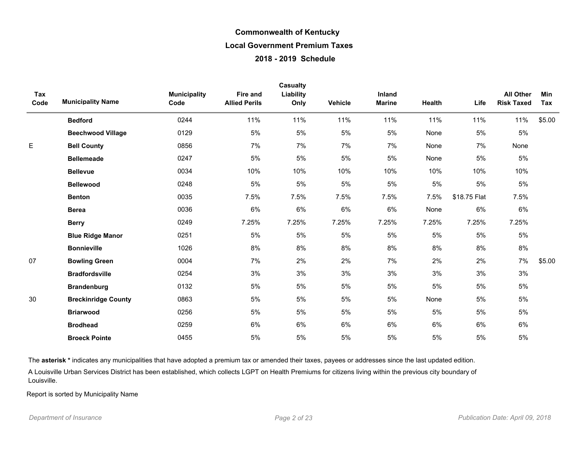| Tax<br>Code | <b>Municipality Name</b>   | <b>Municipality</b><br>Code | <b>Fire and</b><br><b>Allied Perils</b> | <b>Casualty</b><br>Liability<br>Only | Vehicle | Inland<br><b>Marine</b> | Health | Life         | <b>All Other</b><br><b>Risk Taxed</b> | <b>Min</b><br>Tax |
|-------------|----------------------------|-----------------------------|-----------------------------------------|--------------------------------------|---------|-------------------------|--------|--------------|---------------------------------------|-------------------|
|             | <b>Bedford</b>             | 0244                        | 11%                                     | 11%                                  | 11%     | 11%                     | 11%    | 11%          | 11%                                   | \$5.00            |
|             | <b>Beechwood Village</b>   | 0129                        | 5%                                      | 5%                                   | 5%      | 5%                      | None   | 5%           | 5%                                    |                   |
| E           | <b>Bell County</b>         | 0856                        | 7%                                      | 7%                                   | 7%      | 7%                      | None   | 7%           | None                                  |                   |
|             | <b>Bellemeade</b>          | 0247                        | 5%                                      | 5%                                   | 5%      | 5%                      | None   | $5\%$        | $5\%$                                 |                   |
|             | <b>Bellevue</b>            | 0034                        | 10%                                     | 10%                                  | 10%     | 10%                     | 10%    | 10%          | 10%                                   |                   |
|             | <b>Bellewood</b>           | 0248                        | 5%                                      | 5%                                   | 5%      | 5%                      | $5\%$  | 5%           | $5\%$                                 |                   |
|             | <b>Benton</b>              | 0035                        | 7.5%                                    | 7.5%                                 | 7.5%    | 7.5%                    | 7.5%   | \$18.75 Flat | 7.5%                                  |                   |
|             | <b>Berea</b>               | 0036                        | 6%                                      | 6%                                   | 6%      | 6%                      | None   | 6%           | 6%                                    |                   |
|             | <b>Berry</b>               | 0249                        | 7.25%                                   | 7.25%                                | 7.25%   | 7.25%                   | 7.25%  | 7.25%        | 7.25%                                 |                   |
|             | <b>Blue Ridge Manor</b>    | 0251                        | 5%                                      | 5%                                   | 5%      | 5%                      | 5%     | 5%           | $5\%$                                 |                   |
|             | <b>Bonnieville</b>         | 1026                        | 8%                                      | 8%                                   | 8%      | 8%                      | 8%     | 8%           | 8%                                    |                   |
| 07          | <b>Bowling Green</b>       | 0004                        | 7%                                      | 2%                                   | 2%      | 7%                      | 2%     | 2%           | 7%                                    | \$5.00            |
|             | <b>Bradfordsville</b>      | 0254                        | 3%                                      | 3%                                   | 3%      | 3%                      | 3%     | 3%           | 3%                                    |                   |
|             | <b>Brandenburg</b>         | 0132                        | 5%                                      | $5\%$                                | 5%      | 5%                      | 5%     | $5\%$        | $5\%$                                 |                   |
| 30          | <b>Breckinridge County</b> | 0863                        | 5%                                      | 5%                                   | 5%      | 5%                      | None   | 5%           | 5%                                    |                   |
|             | <b>Briarwood</b>           | 0256                        | 5%                                      | 5%                                   | 5%      | 5%                      | 5%     | 5%           | 5%                                    |                   |
|             | <b>Brodhead</b>            | 0259                        | 6%                                      | 6%                                   | 6%      | 6%                      | 6%     | 6%           | 6%                                    |                   |
|             | <b>Broeck Pointe</b>       | 0455                        | 5%                                      | 5%                                   | 5%      | 5%                      | 5%     | 5%           | $5\%$                                 |                   |

The asterisk \* indicates any municipalities that have adopted a premium tax or amended their taxes, payees or addresses since the last updated edition.

A Louisville Urban Services District has been established, which collects LGPT on Health Premiums for citizens living within the previous city boundary of Louisville.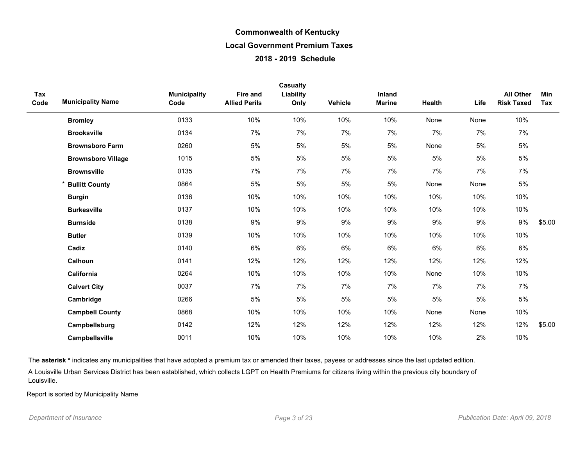|             |                           |                             |                                         | Casualty          |                |                         |        |      |                                       |                   |
|-------------|---------------------------|-----------------------------|-----------------------------------------|-------------------|----------------|-------------------------|--------|------|---------------------------------------|-------------------|
| Tax<br>Code | <b>Municipality Name</b>  | <b>Municipality</b><br>Code | <b>Fire and</b><br><b>Allied Perils</b> | Liability<br>Only | <b>Vehicle</b> | Inland<br><b>Marine</b> | Health | Life | <b>All Other</b><br><b>Risk Taxed</b> | <b>Min</b><br>Tax |
|             | <b>Bromley</b>            | 0133                        | 10%                                     | 10%               | 10%            | 10%                     | None   | None | 10%                                   |                   |
|             | <b>Brooksville</b>        | 0134                        | 7%                                      | 7%                | 7%             | 7%                      | 7%     | 7%   | 7%                                    |                   |
|             | <b>Brownsboro Farm</b>    | 0260                        | 5%                                      | 5%                | 5%             | $5\%$                   | None   | 5%   | $5\%$                                 |                   |
|             | <b>Brownsboro Village</b> | 1015                        | 5%                                      | 5%                | 5%             | 5%                      | 5%     | 5%   | $5\%$                                 |                   |
|             | <b>Brownsville</b>        | 0135                        | 7%                                      | 7%                | 7%             | 7%                      | 7%     | 7%   | 7%                                    |                   |
|             | <b>Bullitt County</b>     | 0864                        | 5%                                      | 5%                | 5%             | 5%                      | None   | None | $5\%$                                 |                   |
|             | <b>Burgin</b>             | 0136                        | 10%                                     | 10%               | 10%            | 10%                     | 10%    | 10%  | 10%                                   |                   |
|             | <b>Burkesville</b>        | 0137                        | 10%                                     | 10%               | 10%            | 10%                     | 10%    | 10%  | 10%                                   |                   |
|             | <b>Burnside</b>           | 0138                        | 9%                                      | 9%                | 9%             | 9%                      | 9%     | 9%   | 9%                                    | \$5.00            |
|             | <b>Butler</b>             | 0139                        | 10%                                     | 10%               | 10%            | 10%                     | 10%    | 10%  | 10%                                   |                   |
|             | Cadiz                     | 0140                        | 6%                                      | 6%                | 6%             | $6\%$                   | 6%     | 6%   | 6%                                    |                   |
|             | Calhoun                   | 0141                        | 12%                                     | 12%               | 12%            | 12%                     | 12%    | 12%  | 12%                                   |                   |
|             | California                | 0264                        | 10%                                     | 10%               | 10%            | 10%                     | None   | 10%  | 10%                                   |                   |
|             | <b>Calvert City</b>       | 0037                        | 7%                                      | 7%                | 7%             | 7%                      | 7%     | 7%   | 7%                                    |                   |
|             | Cambridge                 | 0266                        | 5%                                      | 5%                | 5%             | 5%                      | 5%     | 5%   | 5%                                    |                   |
|             | <b>Campbell County</b>    | 0868                        | 10%                                     | 10%               | 10%            | 10%                     | None   | None | 10%                                   |                   |
|             | Campbellsburg             | 0142                        | 12%                                     | 12%               | 12%            | 12%                     | 12%    | 12%  | 12%                                   | \$5.00            |
|             | Campbellsville            | 0011                        | 10%                                     | 10%               | 10%            | 10%                     | 10%    | 2%   | 10%                                   |                   |

The asterisk \* indicates any municipalities that have adopted a premium tax or amended their taxes, payees or addresses since the last updated edition.

A Louisville Urban Services District has been established, which collects LGPT on Health Premiums for citizens living within the previous city boundary of Louisville.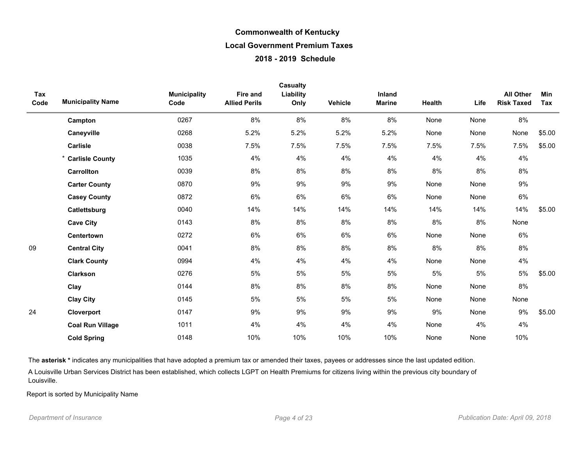| Tax<br>Code | <b>Municipality Name</b> | <b>Municipality</b><br>Code | <b>Fire and</b><br><b>Allied Perils</b> | <b>Casualty</b><br>Liability<br>Only | Vehicle | Inland<br><b>Marine</b> | Health | Life | <b>All Other</b><br><b>Risk Taxed</b> | Min<br>Tax |
|-------------|--------------------------|-----------------------------|-----------------------------------------|--------------------------------------|---------|-------------------------|--------|------|---------------------------------------|------------|
|             | Campton                  | 0267                        | 8%                                      | 8%                                   | 8%      | 8%                      | None   | None | 8%                                    |            |
|             | Caneyville               | 0268                        | 5.2%                                    | 5.2%                                 | 5.2%    | 5.2%                    | None   | None | None                                  | \$5.00     |
|             | Carlisle                 | 0038                        | 7.5%                                    | 7.5%                                 | 7.5%    | 7.5%                    | 7.5%   | 7.5% | 7.5%                                  | \$5.00     |
|             | * Carlisle County        | 1035                        | 4%                                      | 4%                                   | 4%      | 4%                      | 4%     | 4%   | 4%                                    |            |
|             | <b>Carrollton</b>        | 0039                        | 8%                                      | $8\%$                                | 8%      | 8%                      | 8%     | 8%   | 8%                                    |            |
|             | <b>Carter County</b>     | 0870                        | 9%                                      | 9%                                   | 9%      | 9%                      | None   | None | 9%                                    |            |
|             | <b>Casey County</b>      | 0872                        | 6%                                      | 6%                                   | 6%      | 6%                      | None   | None | 6%                                    |            |
|             | Catlettsburg             | 0040                        | 14%                                     | 14%                                  | 14%     | 14%                     | 14%    | 14%  | 14%                                   | \$5.00     |
|             | <b>Cave City</b>         | 0143                        | 8%                                      | 8%                                   | 8%      | 8%                      | 8%     | 8%   | None                                  |            |
|             | Centertown               | 0272                        | 6%                                      | 6%                                   | 6%      | 6%                      | None   | None | 6%                                    |            |
| 09          | <b>Central City</b>      | 0041                        | 8%                                      | 8%                                   | 8%      | 8%                      | 8%     | 8%   | 8%                                    |            |
|             | <b>Clark County</b>      | 0994                        | 4%                                      | 4%                                   | 4%      | 4%                      | None   | None | 4%                                    |            |
|             | <b>Clarkson</b>          | 0276                        | 5%                                      | 5%                                   | 5%      | 5%                      | 5%     | 5%   | 5%                                    | \$5.00     |
|             | Clay                     | 0144                        | 8%                                      | 8%                                   | 8%      | 8%                      | None   | None | 8%                                    |            |
|             | <b>Clay City</b>         | 0145                        | 5%                                      | $5\%$                                | 5%      | 5%                      | None   | None | None                                  |            |
| 24          | Cloverport               | 0147                        | 9%                                      | 9%                                   | 9%      | 9%                      | 9%     | None | 9%                                    | \$5.00     |
|             | <b>Coal Run Village</b>  | 1011                        | 4%                                      | 4%                                   | 4%      | 4%                      | None   | 4%   | 4%                                    |            |
|             | <b>Cold Spring</b>       | 0148                        | 10%                                     | 10%                                  | 10%     | 10%                     | None   | None | 10%                                   |            |

The asterisk \* indicates any municipalities that have adopted a premium tax or amended their taxes, payees or addresses since the last updated edition.

A Louisville Urban Services District has been established, which collects LGPT on Health Premiums for citizens living within the previous city boundary of Louisville.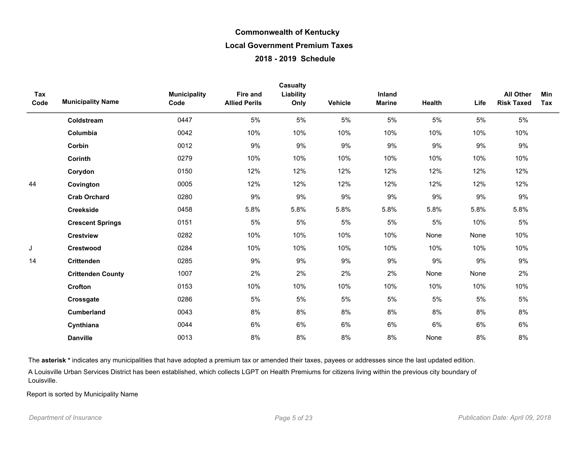| Tax  |                          | <b>Municipality</b> | Fire and             | Casualty<br>Liability |         | Inland        |               |       | <b>All Other</b>  | Min |
|------|--------------------------|---------------------|----------------------|-----------------------|---------|---------------|---------------|-------|-------------------|-----|
| Code | <b>Municipality Name</b> | Code                | <b>Allied Perils</b> | Only                  | Vehicle | <b>Marine</b> | <b>Health</b> | Life  | <b>Risk Taxed</b> | Tax |
|      | Coldstream               | 0447                | 5%                   | 5%                    | 5%      | 5%            | 5%            | 5%    | 5%                |     |
|      | Columbia                 | 0042                | 10%                  | 10%                   | 10%     | 10%           | 10%           | 10%   | 10%               |     |
|      | Corbin                   | 0012                | 9%                   | 9%                    | 9%      | 9%            | 9%            | 9%    | 9%                |     |
|      | <b>Corinth</b>           | 0279                | 10%                  | 10%                   | 10%     | 10%           | 10%           | 10%   | 10%               |     |
|      | Corydon                  | 0150                | 12%                  | 12%                   | 12%     | 12%           | 12%           | 12%   | 12%               |     |
| 44   | Covington                | 0005                | 12%                  | 12%                   | 12%     | 12%           | 12%           | 12%   | 12%               |     |
|      | <b>Crab Orchard</b>      | 0280                | 9%                   | 9%                    | 9%      | 9%            | 9%            | 9%    | 9%                |     |
|      | <b>Creekside</b>         | 0458                | 5.8%                 | 5.8%                  | 5.8%    | 5.8%          | 5.8%          | 5.8%  | 5.8%              |     |
|      | <b>Crescent Springs</b>  | 0151                | 5%                   | 5%                    | 5%      | 5%            | 5%            | 10%   | 5%                |     |
|      | <b>Crestview</b>         | 0282                | 10%                  | 10%                   | 10%     | 10%           | None          | None  | 10%               |     |
| J    | <b>Crestwood</b>         | 0284                | 10%                  | 10%                   | 10%     | 10%           | 10%           | 10%   | 10%               |     |
| 14   | <b>Crittenden</b>        | 0285                | 9%                   | 9%                    | 9%      | 9%            | 9%            | 9%    | 9%                |     |
|      | <b>Crittenden County</b> | 1007                | 2%                   | 2%                    | 2%      | 2%            | None          | None  | 2%                |     |
|      | Crofton                  | 0153                | 10%                  | 10%                   | 10%     | 10%           | 10%           | 10%   | 10%               |     |
|      | Crossgate                | 0286                | 5%                   | 5%                    | 5%      | 5%            | 5%            | $5\%$ | 5%                |     |
|      | <b>Cumberland</b>        | 0043                | 8%                   | 8%                    | 8%      | 8%            | 8%            | 8%    | 8%                |     |
|      | Cynthiana                | 0044                | 6%                   | 6%                    | 6%      | 6%            | 6%            | 6%    | $6\%$             |     |
|      | <b>Danville</b>          | 0013                | 8%                   | 8%                    | 8%      | 8%            | None          | 8%    | 8%                |     |

The asterisk \* indicates any municipalities that have adopted a premium tax or amended their taxes, payees or addresses since the last updated edition.

A Louisville Urban Services District has been established, which collects LGPT on Health Premiums for citizens living within the previous city boundary of Louisville.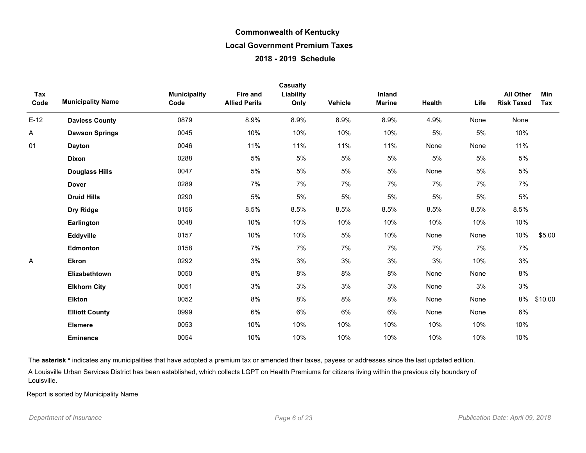| Tax<br>Code | <b>Municipality Name</b> | <b>Municipality</b><br>Code | <b>Fire and</b><br><b>Allied Perils</b> | <b>Casualty</b><br>Liability<br>Only | Vehicle | Inland<br><b>Marine</b> | Health | Life | <b>All Other</b><br><b>Risk Taxed</b> | Min<br>Tax |
|-------------|--------------------------|-----------------------------|-----------------------------------------|--------------------------------------|---------|-------------------------|--------|------|---------------------------------------|------------|
| $E-12$      | <b>Daviess County</b>    | 0879                        | 8.9%                                    | 8.9%                                 | 8.9%    | 8.9%                    | 4.9%   | None | None                                  |            |
| Α           | <b>Dawson Springs</b>    | 0045                        | 10%                                     | 10%                                  | 10%     | 10%                     | 5%     | 5%   | 10%                                   |            |
| 01          | <b>Dayton</b>            | 0046                        | 11%                                     | 11%                                  | 11%     | 11%                     | None   | None | 11%                                   |            |
|             | <b>Dixon</b>             | 0288                        | $5\%$                                   | 5%                                   | 5%      | 5%                      | 5%     | 5%   | $5\%$                                 |            |
|             | <b>Douglass Hills</b>    | 0047                        | 5%                                      | 5%                                   | 5%      | 5%                      | None   | 5%   | $5\%$                                 |            |
|             | <b>Dover</b>             | 0289                        | 7%                                      | 7%                                   | 7%      | 7%                      | 7%     | 7%   | 7%                                    |            |
|             | <b>Druid Hills</b>       | 0290                        | 5%                                      | 5%                                   | $5\%$   | $5\%$                   | 5%     | 5%   | $5\%$                                 |            |
|             | Dry Ridge                | 0156                        | 8.5%                                    | 8.5%                                 | 8.5%    | 8.5%                    | 8.5%   | 8.5% | 8.5%                                  |            |
|             | Earlington               | 0048                        | 10%                                     | 10%                                  | 10%     | 10%                     | 10%    | 10%  | 10%                                   |            |
|             | Eddyville                | 0157                        | 10%                                     | 10%                                  | 5%      | 10%                     | None   | None | 10%                                   | \$5.00     |
|             | Edmonton                 | 0158                        | 7%                                      | 7%                                   | 7%      | 7%                      | 7%     | 7%   | 7%                                    |            |
| A           | <b>Ekron</b>             | 0292                        | 3%                                      | 3%                                   | 3%      | 3%                      | 3%     | 10%  | 3%                                    |            |
|             | Elizabethtown            | 0050                        | 8%                                      | 8%                                   | 8%      | 8%                      | None   | None | 8%                                    |            |
|             | <b>Elkhorn City</b>      | 0051                        | 3%                                      | 3%                                   | 3%      | 3%                      | None   | 3%   | 3%                                    |            |
|             | <b>Elkton</b>            | 0052                        | 8%                                      | 8%                                   | 8%      | 8%                      | None   | None | 8%                                    | \$10.00    |
|             | <b>Elliott County</b>    | 0999                        | 6%                                      | 6%                                   | 6%      | 6%                      | None   | None | 6%                                    |            |
|             | <b>Elsmere</b>           | 0053                        | 10%                                     | 10%                                  | 10%     | 10%                     | 10%    | 10%  | 10%                                   |            |
|             | <b>Eminence</b>          | 0054                        | 10%                                     | 10%                                  | 10%     | 10%                     | 10%    | 10%  | 10%                                   |            |

The asterisk \* indicates any municipalities that have adopted a premium tax or amended their taxes, payees or addresses since the last updated edition.

A Louisville Urban Services District has been established, which collects LGPT on Health Premiums for citizens living within the previous city boundary of Louisville.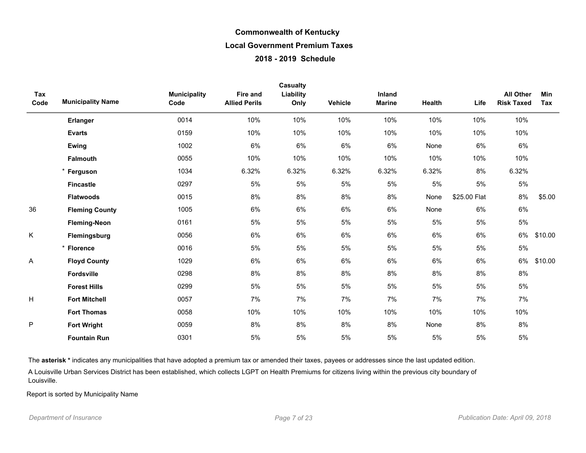| Tax  |                          | <b>Municipality</b> | Fire and             | <b>Casualty</b><br>Liability |         | Inland        |        |              | <b>All Other</b>  | Min     |
|------|--------------------------|---------------------|----------------------|------------------------------|---------|---------------|--------|--------------|-------------------|---------|
| Code | <b>Municipality Name</b> | Code                | <b>Allied Perils</b> | Only                         | Vehicle | <b>Marine</b> | Health | Life         | <b>Risk Taxed</b> | Tax     |
|      | <b>Erlanger</b>          | 0014                | 10%                  | 10%                          | 10%     | 10%           | 10%    | 10%          | 10%               |         |
|      | <b>Evarts</b>            | 0159                | 10%                  | 10%                          | 10%     | 10%           | 10%    | 10%          | 10%               |         |
|      | Ewing                    | 1002                | 6%                   | 6%                           | 6%      | 6%            | None   | 6%           | 6%                |         |
|      | <b>Falmouth</b>          | 0055                | 10%                  | 10%                          | 10%     | 10%           | 10%    | 10%          | 10%               |         |
|      | * Ferguson               | 1034                | 6.32%                | 6.32%                        | 6.32%   | 6.32%         | 6.32%  | 8%           | 6.32%             |         |
|      | <b>Fincastle</b>         | 0297                | 5%                   | 5%                           | 5%      | 5%            | 5%     | $5\%$        | $5\%$             |         |
|      | <b>Flatwoods</b>         | 0015                | 8%                   | 8%                           | 8%      | 8%            | None   | \$25.00 Flat | 8%                | \$5.00  |
| 36   | <b>Fleming County</b>    | 1005                | 6%                   | 6%                           | 6%      | 6%            | None   | 6%           | 6%                |         |
|      | <b>Fleming-Neon</b>      | 0161                | 5%                   | 5%                           | 5%      | 5%            | 5%     | 5%           | $5\%$             |         |
| Κ    | Flemingsburg             | 0056                | 6%                   | 6%                           | 6%      | 6%            | 6%     | 6%           | 6%                | \$10.00 |
|      | * Florence               | 0016                | 5%                   | 5%                           | 5%      | 5%            | 5%     | $5\%$        | $5\%$             |         |
| Α    | <b>Floyd County</b>      | 1029                | 6%                   | 6%                           | 6%      | 6%            | 6%     | 6%           | 6%                | \$10.00 |
|      | <b>Fordsville</b>        | 0298                | 8%                   | 8%                           | 8%      | 8%            | 8%     | 8%           | 8%                |         |
|      | <b>Forest Hills</b>      | 0299                | 5%                   | 5%                           | 5%      | 5%            | 5%     | $5\%$        | $5\%$             |         |
| н    | <b>Fort Mitchell</b>     | 0057                | 7%                   | 7%                           | 7%      | 7%            | 7%     | 7%           | 7%                |         |
|      | <b>Fort Thomas</b>       | 0058                | 10%                  | 10%                          | 10%     | 10%           | 10%    | 10%          | 10%               |         |
| P    | <b>Fort Wright</b>       | 0059                | 8%                   | 8%                           | 8%      | 8%            | None   | 8%           | 8%                |         |
|      | <b>Fountain Run</b>      | 0301                | 5%                   | 5%                           | 5%      | 5%            | 5%     | 5%           | 5%                |         |

The asterisk \* indicates any municipalities that have adopted a premium tax or amended their taxes, payees or addresses since the last updated edition.

A Louisville Urban Services District has been established, which collects LGPT on Health Premiums for citizens living within the previous city boundary of Louisville.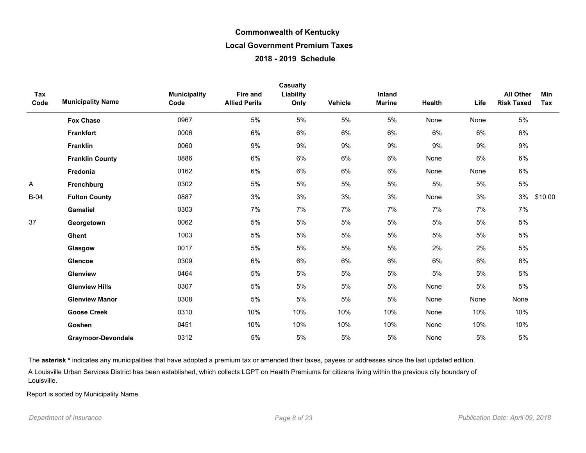| Tax<br>Code | <b>Municipality Name</b> | <b>Municipality</b><br>Code | Fire and<br><b>Allied Perils</b> | Casualty<br>Liability<br>Only | Vehicle | Inland<br><b>Marine</b> | Health | Life  | <b>All Other</b><br><b>Risk Taxed</b> | <b>Min</b><br>Tax |
|-------------|--------------------------|-----------------------------|----------------------------------|-------------------------------|---------|-------------------------|--------|-------|---------------------------------------|-------------------|
|             | <b>Fox Chase</b>         | 0967                        | 5%                               | 5%                            | 5%      | 5%                      | None   | None  | 5%                                    |                   |
|             | <b>Frankfort</b>         | 0006                        | 6%                               | 6%                            | 6%      | 6%                      | 6%     | 6%    | 6%                                    |                   |
|             | <b>Franklin</b>          | 0060                        | 9%                               | 9%                            | 9%      | 9%                      | 9%     | 9%    | 9%                                    |                   |
|             | <b>Franklin County</b>   | 0886                        | 6%                               | 6%                            | 6%      | 6%                      | None   | 6%    | 6%                                    |                   |
|             | Fredonia                 | 0162                        | 6%                               | 6%                            | 6%      | 6%                      | None   | None  | 6%                                    |                   |
| Α           | Frenchburg               | 0302                        | 5%                               | 5%                            | 5%      | 5%                      | 5%     | 5%    | 5%                                    |                   |
| $B-04$      | <b>Fulton County</b>     | 0887                        | 3%                               | 3%                            | 3%      | 3%                      | None   | 3%    | 3%                                    | \$10.00           |
|             | <b>Gamaliel</b>          | 0303                        | 7%                               | 7%                            | 7%      | 7%                      | 7%     | 7%    | 7%                                    |                   |
| 37          | Georgetown               | 0062                        | 5%                               | 5%                            | 5%      | 5%                      | 5%     | 5%    | 5%                                    |                   |
|             | Ghent                    | 1003                        | 5%                               | 5%                            | 5%      | 5%                      | 5%     | $5\%$ | 5%                                    |                   |
|             | Glasgow                  | 0017                        | 5%                               | 5%                            | 5%      | 5%                      | 2%     | 2%    | 5%                                    |                   |
|             | <b>Glencoe</b>           | 0309                        | 6%                               | 6%                            | 6%      | 6%                      | 6%     | 6%    | 6%                                    |                   |
|             | <b>Glenview</b>          | 0464                        | 5%                               | 5%                            | 5%      | 5%                      | 5%     | $5\%$ | 5%                                    |                   |
|             | <b>Glenview Hills</b>    | 0307                        | 5%                               | 5%                            | 5%      | 5%                      | None   | $5\%$ | 5%                                    |                   |
|             | <b>Glenview Manor</b>    | 0308                        | 5%                               | 5%                            | 5%      | 5%                      | None   | None  | None                                  |                   |
|             | <b>Goose Creek</b>       | 0310                        | 10%                              | 10%                           | 10%     | 10%                     | None   | 10%   | 10%                                   |                   |
|             | Goshen                   | 0451                        | 10%                              | 10%                           | 10%     | 10%                     | None   | 10%   | 10%                                   |                   |
|             | Graymoor-Devondale       | 0312                        | 5%                               | 5%                            | 5%      | 5%                      | None   | $5\%$ | $5\%$                                 |                   |

The asterisk \* indicates any municipalities that have adopted a premium tax or amended their taxes, payees or addresses since the last updated edition.

A Louisville Urban Services District has been established, which collects LGPT on Health Premiums for citizens living within the previous city boundary of Louisville.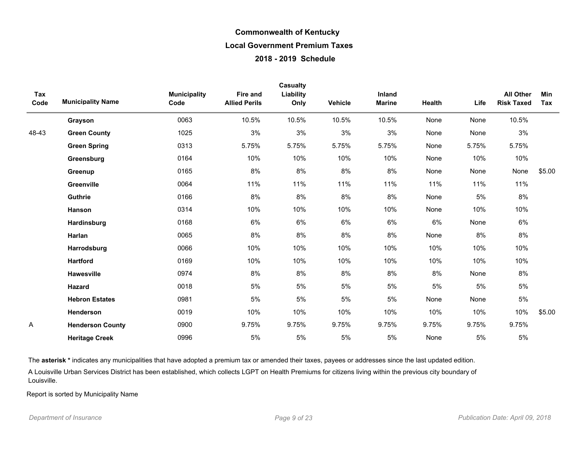|             |                          |                             |                                         | Casualty          |                |                         |        |       |                                       |            |
|-------------|--------------------------|-----------------------------|-----------------------------------------|-------------------|----------------|-------------------------|--------|-------|---------------------------------------|------------|
| Tax<br>Code | <b>Municipality Name</b> | <b>Municipality</b><br>Code | <b>Fire and</b><br><b>Allied Perils</b> | Liability<br>Only | <b>Vehicle</b> | Inland<br><b>Marine</b> | Health | Life  | <b>All Other</b><br><b>Risk Taxed</b> | Min<br>Tax |
|             | Grayson                  | 0063                        | 10.5%                                   | 10.5%             | 10.5%          | 10.5%                   | None   | None  | 10.5%                                 |            |
| 48-43       | <b>Green County</b>      | 1025                        | 3%                                      | 3%                | 3%             | 3%                      | None   | None  | 3%                                    |            |
|             | <b>Green Spring</b>      | 0313                        | 5.75%                                   | 5.75%             | 5.75%          | 5.75%                   | None   | 5.75% | 5.75%                                 |            |
|             | Greensburg               | 0164                        | 10%                                     | 10%               | 10%            | 10%                     | None   | 10%   | 10%                                   |            |
|             | Greenup                  | 0165                        | 8%                                      | 8%                | 8%             | 8%                      | None   | None  | None                                  | \$5.00     |
|             | Greenville               | 0064                        | 11%                                     | 11%               | 11%            | 11%                     | 11%    | 11%   | 11%                                   |            |
|             | Guthrie                  | 0166                        | 8%                                      | 8%                | 8%             | 8%                      | None   | 5%    | $8\%$                                 |            |
|             | Hanson                   | 0314                        | 10%                                     | 10%               | 10%            | 10%                     | None   | 10%   | 10%                                   |            |
|             | Hardinsburg              | 0168                        | 6%                                      | 6%                | 6%             | 6%                      | 6%     | None  | 6%                                    |            |
|             | Harlan                   | 0065                        | 8%                                      | 8%                | 8%             | 8%                      | None   | 8%    | 8%                                    |            |
|             | Harrodsburg              | 0066                        | 10%                                     | 10%               | 10%            | 10%                     | 10%    | 10%   | 10%                                   |            |
|             | <b>Hartford</b>          | 0169                        | 10%                                     | 10%               | 10%            | 10%                     | 10%    | 10%   | 10%                                   |            |
|             | <b>Hawesville</b>        | 0974                        | 8%                                      | 8%                | 8%             | 8%                      | 8%     | None  | 8%                                    |            |
|             | Hazard                   | 0018                        | 5%                                      | 5%                | 5%             | 5%                      | 5%     | 5%    | 5%                                    |            |
|             | <b>Hebron Estates</b>    | 0981                        | 5%                                      | 5%                | 5%             | 5%                      | None   | None  | 5%                                    |            |
|             | Henderson                | 0019                        | 10%                                     | 10%               | 10%            | 10%                     | 10%    | 10%   | 10%                                   | \$5.00     |
| A           | <b>Henderson County</b>  | 0900                        | 9.75%                                   | 9.75%             | 9.75%          | 9.75%                   | 9.75%  | 9.75% | 9.75%                                 |            |
|             | <b>Heritage Creek</b>    | 0996                        | 5%                                      | $5\%$             | 5%             | 5%                      | None   | 5%    | 5%                                    |            |

The asterisk \* indicates any municipalities that have adopted a premium tax or amended their taxes, payees or addresses since the last updated edition.

A Louisville Urban Services District has been established, which collects LGPT on Health Premiums for citizens living within the previous city boundary of Louisville.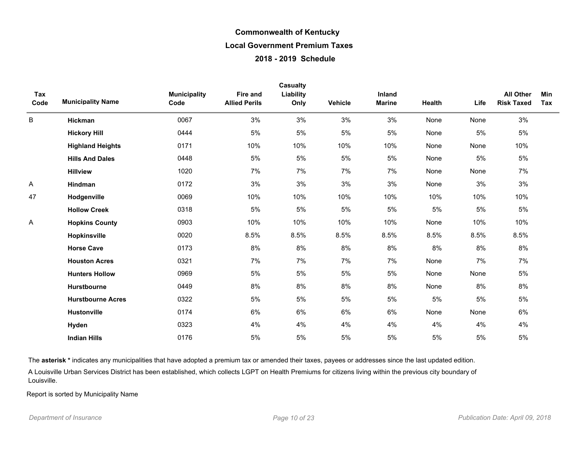|             |                          |                             |                                  | Casualty          |         |                         |        |       |                                       |                   |
|-------------|--------------------------|-----------------------------|----------------------------------|-------------------|---------|-------------------------|--------|-------|---------------------------------------|-------------------|
| Tax<br>Code | <b>Municipality Name</b> | <b>Municipality</b><br>Code | Fire and<br><b>Allied Perils</b> | Liability<br>Only | Vehicle | Inland<br><b>Marine</b> | Health | Life  | <b>All Other</b><br><b>Risk Taxed</b> | <b>Min</b><br>Tax |
| B           | Hickman                  | 0067                        | 3%                               | 3%                | 3%      | 3%                      | None   | None  | 3%                                    |                   |
|             | <b>Hickory Hill</b>      | 0444                        | 5%                               | $5\%$             | $5%$    | 5%                      | None   | $5\%$ | 5%                                    |                   |
|             | <b>Highland Heights</b>  | 0171                        | 10%                              | 10%               | 10%     | 10%                     | None   | None  | 10%                                   |                   |
|             | <b>Hills And Dales</b>   | 0448                        | 5%                               | $5\%$             | $5%$    | 5%                      | None   | $5\%$ | $5\%$                                 |                   |
|             | <b>Hillview</b>          | 1020                        | 7%                               | 7%                | 7%      | 7%                      | None   | None  | 7%                                    |                   |
| Α           | Hindman                  | 0172                        | 3%                               | 3%                | 3%      | 3%                      | None   | 3%    | 3%                                    |                   |
| 47          | Hodgenville              | 0069                        | 10%                              | 10%               | 10%     | 10%                     | 10%    | 10%   | 10%                                   |                   |
|             | <b>Hollow Creek</b>      | 0318                        | 5%                               | 5%                | 5%      | 5%                      | 5%     | 5%    | 5%                                    |                   |
| Α           | <b>Hopkins County</b>    | 0903                        | 10%                              | 10%               | 10%     | 10%                     | None   | 10%   | 10%                                   |                   |
|             | Hopkinsville             | 0020                        | 8.5%                             | 8.5%              | 8.5%    | 8.5%                    | 8.5%   | 8.5%  | 8.5%                                  |                   |
|             | <b>Horse Cave</b>        | 0173                        | 8%                               | 8%                | 8%      | 8%                      | 8%     | 8%    | 8%                                    |                   |
|             | <b>Houston Acres</b>     | 0321                        | 7%                               | 7%                | 7%      | 7%                      | None   | 7%    | 7%                                    |                   |
|             | <b>Hunters Hollow</b>    | 0969                        | 5%                               | 5%                | 5%      | 5%                      | None   | None  | 5%                                    |                   |
|             | Hurstbourne              | 0449                        | 8%                               | 8%                | 8%      | 8%                      | None   | 8%    | 8%                                    |                   |
|             | <b>Hurstbourne Acres</b> | 0322                        | 5%                               | 5%                | 5%      | 5%                      | 5%     | 5%    | 5%                                    |                   |
|             | <b>Hustonville</b>       | 0174                        | 6%                               | 6%                | 6%      | 6%                      | None   | None  | 6%                                    |                   |
|             | Hyden                    | 0323                        | 4%                               | 4%                | 4%      | 4%                      | 4%     | 4%    | 4%                                    |                   |
|             | <b>Indian Hills</b>      | 0176                        | 5%                               | 5%                | 5%      | 5%                      | 5%     | 5%    | 5%                                    |                   |

The asterisk \* indicates any municipalities that have adopted a premium tax or amended their taxes, payees or addresses since the last updated edition.

A Louisville Urban Services District has been established, which collects LGPT on Health Premiums for citizens living within the previous city boundary of Louisville.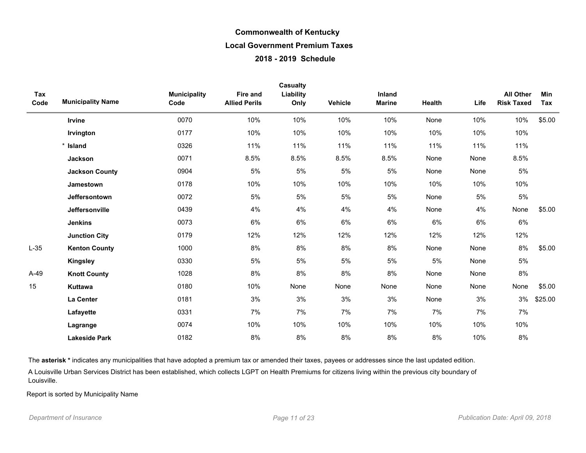| Tax<br>Code | <b>Municipality Name</b> | <b>Municipality</b><br>Code | <b>Fire and</b><br><b>Allied Perils</b> | <b>Casualty</b><br>Liability<br>Only | Vehicle | Inland<br><b>Marine</b> | Health | Life | <b>All Other</b><br><b>Risk Taxed</b> | Min<br>Tax |
|-------------|--------------------------|-----------------------------|-----------------------------------------|--------------------------------------|---------|-------------------------|--------|------|---------------------------------------|------------|
|             | Irvine                   | 0070                        | 10%                                     | 10%                                  | 10%     | 10%                     | None   | 10%  | 10%                                   | \$5.00     |
|             | Irvington                | 0177                        | 10%                                     | 10%                                  | 10%     | 10%                     | 10%    | 10%  | 10%                                   |            |
|             | * Island                 | 0326                        | 11%                                     | 11%                                  | 11%     | 11%                     | 11%    | 11%  | 11%                                   |            |
|             | Jackson                  | 0071                        | 8.5%                                    | 8.5%                                 | 8.5%    | 8.5%                    | None   | None | 8.5%                                  |            |
|             | <b>Jackson County</b>    | 0904                        | 5%                                      | 5%                                   | 5%      | 5%                      | None   | None | 5%                                    |            |
|             | <b>Jamestown</b>         | 0178                        | 10%                                     | 10%                                  | 10%     | 10%                     | 10%    | 10%  | 10%                                   |            |
|             | Jeffersontown            | 0072                        | 5%                                      | 5%                                   | 5%      | 5%                      | None   | 5%   | 5%                                    |            |
|             | Jeffersonville           | 0439                        | 4%                                      | 4%                                   | 4%      | 4%                      | None   | 4%   | None                                  | \$5.00     |
|             | <b>Jenkins</b>           | 0073                        | 6%                                      | 6%                                   | 6%      | 6%                      | 6%     | 6%   | 6%                                    |            |
|             | <b>Junction City</b>     | 0179                        | 12%                                     | 12%                                  | 12%     | 12%                     | 12%    | 12%  | 12%                                   |            |
| $L-35$      | <b>Kenton County</b>     | 1000                        | 8%                                      | 8%                                   | 8%      | 8%                      | None   | None | 8%                                    | \$5.00     |
|             | <b>Kingsley</b>          | 0330                        | 5%                                      | 5%                                   | 5%      | 5%                      | $5%$   | None | 5%                                    |            |
| $A-49$      | <b>Knott County</b>      | 1028                        | 8%                                      | 8%                                   | 8%      | 8%                      | None   | None | 8%                                    |            |
| 15          | Kuttawa                  | 0180                        | 10%                                     | None                                 | None    | None                    | None   | None | None                                  | \$5.00     |
|             | La Center                | 0181                        | 3%                                      | 3%                                   | 3%      | 3%                      | None   | 3%   | 3%                                    | \$25.00    |
|             | Lafayette                | 0331                        | 7%                                      | 7%                                   | 7%      | 7%                      | 7%     | 7%   | 7%                                    |            |
|             | Lagrange                 | 0074                        | 10%                                     | 10%                                  | 10%     | 10%                     | 10%    | 10%  | 10%                                   |            |
|             | <b>Lakeside Park</b>     | 0182                        | 8%                                      | 8%                                   | 8%      | 8%                      | 8%     | 10%  | 8%                                    |            |

The asterisk \* indicates any municipalities that have adopted a premium tax or amended their taxes, payees or addresses since the last updated edition.

A Louisville Urban Services District has been established, which collects LGPT on Health Premiums for citizens living within the previous city boundary of Louisville.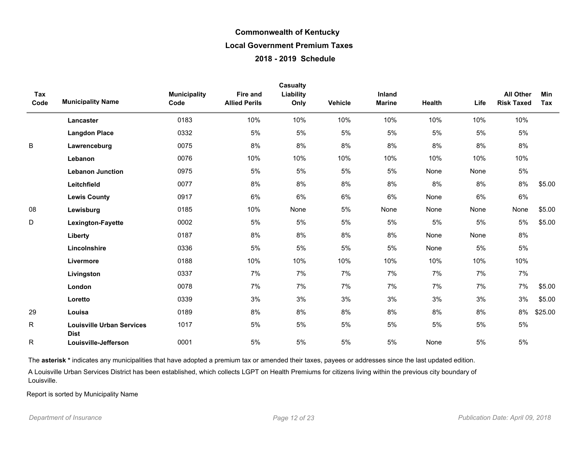|             |                                                 |                             |                                         | <b>Casualty</b>   |         |                         |        |       |                                       |                   |
|-------------|-------------------------------------------------|-----------------------------|-----------------------------------------|-------------------|---------|-------------------------|--------|-------|---------------------------------------|-------------------|
| Tax<br>Code | <b>Municipality Name</b>                        | <b>Municipality</b><br>Code | <b>Fire and</b><br><b>Allied Perils</b> | Liability<br>Only | Vehicle | Inland<br><b>Marine</b> | Health | Life  | <b>All Other</b><br><b>Risk Taxed</b> | <b>Min</b><br>Tax |
|             | Lancaster                                       | 0183                        | 10%                                     | 10%               | 10%     | 10%                     | 10%    | 10%   | 10%                                   |                   |
|             | <b>Langdon Place</b>                            | 0332                        | 5%                                      | 5%                | 5%      | 5%                      | 5%     | 5%    | 5%                                    |                   |
| B           | Lawrenceburg                                    | 0075                        | 8%                                      | 8%                | 8%      | 8%                      | $8\%$  | 8%    | 8%                                    |                   |
|             | Lebanon                                         | 0076                        | 10%                                     | 10%               | 10%     | 10%                     | 10%    | 10%   | 10%                                   |                   |
|             | <b>Lebanon Junction</b>                         | 0975                        | 5%                                      | 5%                | 5%      | 5%                      | None   | None  | 5%                                    |                   |
|             | Leitchfield                                     | 0077                        | 8%                                      | 8%                | 8%      | 8%                      | 8%     | 8%    | 8%                                    | \$5.00            |
|             | <b>Lewis County</b>                             | 0917                        | 6%                                      | 6%                | 6%      | 6%                      | None   | 6%    | 6%                                    |                   |
| 08          | Lewisburg                                       | 0185                        | 10%                                     | None              | 5%      | None                    | None   | None  | None                                  | \$5.00            |
| D           | Lexington-Fayette                               | 0002                        | 5%                                      | 5%                | 5%      | 5%                      | 5%     | 5%    | 5%                                    | \$5.00            |
|             | Liberty                                         | 0187                        | 8%                                      | 8%                | 8%      | 8%                      | None   | None  | 8%                                    |                   |
|             | Lincolnshire                                    | 0336                        | 5%                                      | 5%                | 5%      | 5%                      | None   | 5%    | 5%                                    |                   |
|             | Livermore                                       | 0188                        | 10%                                     | 10%               | 10%     | 10%                     | 10%    | 10%   | 10%                                   |                   |
|             | Livingston                                      | 0337                        | 7%                                      | 7%                | 7%      | 7%                      | 7%     | 7%    | 7%                                    |                   |
|             | London                                          | 0078                        | 7%                                      | 7%                | 7%      | 7%                      | 7%     | 7%    | 7%                                    | \$5.00            |
|             | Loretto                                         | 0339                        | 3%                                      | 3%                | 3%      | 3%                      | 3%     | 3%    | 3%                                    | \$5.00            |
| 29          | Louisa                                          | 0189                        | 8%                                      | 8%                | 8%      | 8%                      | 8%     | 8%    | 8%                                    | \$25.00           |
| R           | <b>Louisville Urban Services</b><br><b>Dist</b> | 1017                        | 5%                                      | 5%                | 5%      | $5%$                    | 5%     | $5\%$ | 5%                                    |                   |
| R           | Louisville-Jefferson                            | 0001                        | 5%                                      | $5\%$             | 5%      | 5%                      | None   | $5\%$ | $5\%$                                 |                   |

The asterisk \* indicates any municipalities that have adopted a premium tax or amended their taxes, payees or addresses since the last updated edition.

A Louisville Urban Services District has been established, which collects LGPT on Health Premiums for citizens living within the previous city boundary of Louisville.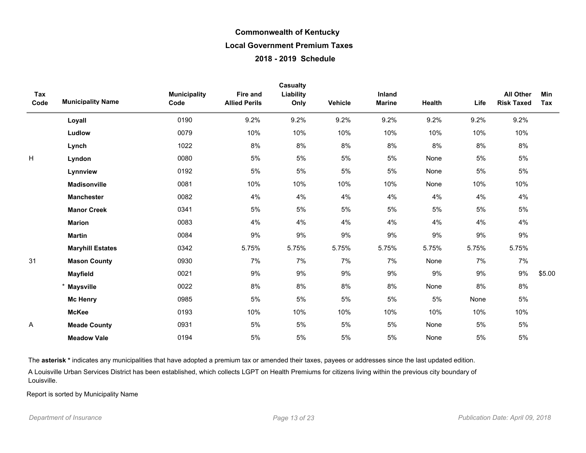| Tax<br>Code | <b>Municipality Name</b> | <b>Municipality</b><br>Code | <b>Fire and</b><br><b>Allied Perils</b> | Casualty<br>Liability<br>Only | <b>Vehicle</b> | <b>Inland</b><br><b>Marine</b> | Health | Life  | <b>All Other</b><br><b>Risk Taxed</b> | <b>Min</b><br>Tax |
|-------------|--------------------------|-----------------------------|-----------------------------------------|-------------------------------|----------------|--------------------------------|--------|-------|---------------------------------------|-------------------|
|             | Loyall                   | 0190                        | 9.2%                                    | 9.2%                          | 9.2%           | 9.2%                           | 9.2%   | 9.2%  | 9.2%                                  |                   |
|             | Ludlow                   | 0079                        | 10%                                     | 10%                           | 10%            | 10%                            | 10%    | 10%   | 10%                                   |                   |
|             | Lynch                    | 1022                        | 8%                                      | 8%                            | 8%             | 8%                             | 8%     | 8%    | 8%                                    |                   |
| H           | Lyndon                   | 0080                        | 5%                                      | $5\%$                         | 5%             | $5\%$                          | None   | 5%    | 5%                                    |                   |
|             | Lynnview                 | 0192                        | $5\%$                                   | $5\%$                         | $5\%$          | $5\%$                          | None   | 5%    | 5%                                    |                   |
|             | <b>Madisonville</b>      | 0081                        | 10%                                     | 10%                           | 10%            | 10%                            | None   | 10%   | 10%                                   |                   |
|             | <b>Manchester</b>        | 0082                        | 4%                                      | 4%                            | 4%             | 4%                             | 4%     | 4%    | 4%                                    |                   |
|             | <b>Manor Creek</b>       | 0341                        | 5%                                      | $5\%$                         | 5%             | $5\%$                          | $5\%$  | 5%    | 5%                                    |                   |
|             | <b>Marion</b>            | 0083                        | 4%                                      | 4%                            | 4%             | 4%                             | 4%     | 4%    | 4%                                    |                   |
|             | <b>Martin</b>            | 0084                        | 9%                                      | 9%                            | 9%             | 9%                             | 9%     | 9%    | 9%                                    |                   |
|             | <b>Maryhill Estates</b>  | 0342                        | 5.75%                                   | 5.75%                         | 5.75%          | 5.75%                          | 5.75%  | 5.75% | 5.75%                                 |                   |
| 31          | <b>Mason County</b>      | 0930                        | 7%                                      | 7%                            | 7%             | 7%                             | None   | 7%    | 7%                                    |                   |
|             | <b>Mayfield</b>          | 0021                        | 9%                                      | 9%                            | 9%             | 9%                             | $9\%$  | 9%    | 9%                                    | \$5.00            |
|             | * Maysville              | 0022                        | 8%                                      | 8%                            | 8%             | 8%                             | None   | 8%    | 8%                                    |                   |
|             | <b>Mc Henry</b>          | 0985                        | 5%                                      | 5%                            | 5%             | 5%                             | 5%     | None  | 5%                                    |                   |
|             | <b>McKee</b>             | 0193                        | 10%                                     | 10%                           | 10%            | 10%                            | 10%    | 10%   | 10%                                   |                   |
| Α           | <b>Meade County</b>      | 0931                        | 5%                                      | $5\%$                         | 5%             | 5%                             | None   | 5%    | 5%                                    |                   |
|             | <b>Meadow Vale</b>       | 0194                        | 5%                                      | 5%                            | 5%             | 5%                             | None   | 5%    | 5%                                    |                   |

The asterisk \* indicates any municipalities that have adopted a premium tax or amended their taxes, payees or addresses since the last updated edition.

A Louisville Urban Services District has been established, which collects LGPT on Health Premiums for citizens living within the previous city boundary of Louisville.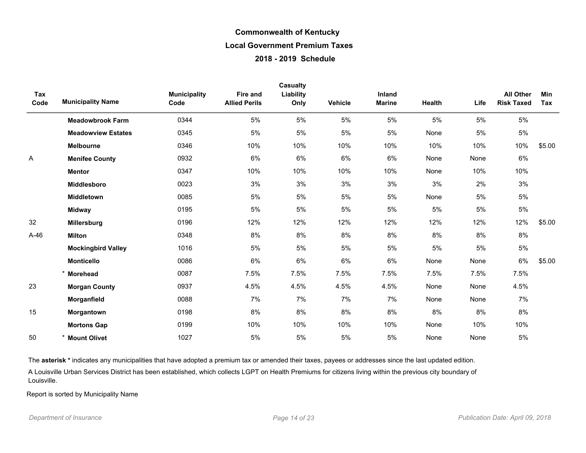|             |                           |                             |                                  | Casualty          |         |                         |        |       |                                       |                   |
|-------------|---------------------------|-----------------------------|----------------------------------|-------------------|---------|-------------------------|--------|-------|---------------------------------------|-------------------|
| Tax<br>Code | <b>Municipality Name</b>  | <b>Municipality</b><br>Code | Fire and<br><b>Allied Perils</b> | Liability<br>Only | Vehicle | Inland<br><b>Marine</b> | Health | Life  | <b>All Other</b><br><b>Risk Taxed</b> | <b>Min</b><br>Tax |
|             | <b>Meadowbrook Farm</b>   | 0344                        | 5%                               | 5%                | 5%      | 5%                      | 5%     | 5%    | 5%                                    |                   |
|             | <b>Meadowview Estates</b> | 0345                        | 5%                               | 5%                | 5%      | 5%                      | None   | 5%    | $5\%$                                 |                   |
|             | <b>Melbourne</b>          | 0346                        | 10%                              | 10%               | 10%     | 10%                     | 10%    | 10%   | 10%                                   | \$5.00            |
| Α           | <b>Menifee County</b>     | 0932                        | 6%                               | 6%                | 6%      | 6%                      | None   | None  | 6%                                    |                   |
|             | <b>Mentor</b>             | 0347                        | 10%                              | 10%               | 10%     | 10%                     | None   | 10%   | 10%                                   |                   |
|             | Middlesboro               | 0023                        | 3%                               | 3%                | 3%      | 3%                      | 3%     | 2%    | 3%                                    |                   |
|             | Middletown                | 0085                        | 5%                               | 5%                | 5%      | 5%                      | None   | 5%    | 5%                                    |                   |
|             | <b>Midway</b>             | 0195                        | 5%                               | 5%                | 5%      | 5%                      | 5%     | 5%    | $5\%$                                 |                   |
| 32          | Millersburg               | 0196                        | 12%                              | 12%               | 12%     | 12%                     | 12%    | 12%   | 12%                                   | \$5.00            |
| A-46        | <b>Milton</b>             | 0348                        | 8%                               | 8%                | 8%      | 8%                      | 8%     | 8%    | 8%                                    |                   |
|             | <b>Mockingbird Valley</b> | 1016                        | 5%                               | 5%                | 5%      | 5%                      | 5%     | $5\%$ | $5\%$                                 |                   |
|             | <b>Monticello</b>         | 0086                        | 6%                               | 6%                | 6%      | 6%                      | None   | None  | 6%                                    | \$5.00            |
|             | <b>Morehead</b>           | 0087                        | 7.5%                             | 7.5%              | 7.5%    | 7.5%                    | 7.5%   | 7.5%  | 7.5%                                  |                   |
| 23          | <b>Morgan County</b>      | 0937                        | 4.5%                             | 4.5%              | 4.5%    | 4.5%                    | None   | None  | 4.5%                                  |                   |
|             | Morganfield               | 0088                        | 7%                               | 7%                | 7%      | 7%                      | None   | None  | 7%                                    |                   |
| 15          | Morgantown                | 0198                        | 8%                               | 8%                | 8%      | 8%                      | 8%     | 8%    | 8%                                    |                   |
|             | <b>Mortons Gap</b>        | 0199                        | 10%                              | 10%               | 10%     | 10%                     | None   | 10%   | 10%                                   |                   |
| 50          | <b>Mount Olivet</b>       | 1027                        | 5%                               | 5%                | 5%      | 5%                      | None   | None  | 5%                                    |                   |

The asterisk \* indicates any municipalities that have adopted a premium tax or amended their taxes, payees or addresses since the last updated edition.

A Louisville Urban Services District has been established, which collects LGPT on Health Premiums for citizens living within the previous city boundary of Louisville.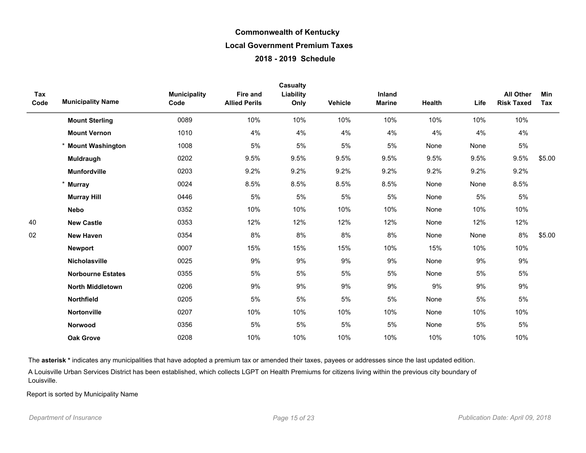| Tax  |                          | <b>Municipality</b> | <b>Fire and</b>      | Casualty<br>Liability |         | Inland        |        |      | <b>All Other</b>  | Min    |
|------|--------------------------|---------------------|----------------------|-----------------------|---------|---------------|--------|------|-------------------|--------|
| Code | <b>Municipality Name</b> | Code                | <b>Allied Perils</b> | Only                  | Vehicle | <b>Marine</b> | Health | Life | <b>Risk Taxed</b> | Tax    |
|      | <b>Mount Sterling</b>    | 0089                | 10%                  | 10%                   | 10%     | 10%           | 10%    | 10%  | 10%               |        |
|      | <b>Mount Vernon</b>      | 1010                | 4%                   | 4%                    | 4%      | 4%            | 4%     | 4%   | 4%                |        |
|      | <b>Mount Washington</b>  | 1008                | 5%                   | 5%                    | 5%      | 5%            | None   | None | 5%                |        |
|      | Muldraugh                | 0202                | 9.5%                 | 9.5%                  | 9.5%    | 9.5%          | 9.5%   | 9.5% | 9.5%              | \$5.00 |
|      | <b>Munfordville</b>      | 0203                | 9.2%                 | 9.2%                  | 9.2%    | 9.2%          | 9.2%   | 9.2% | 9.2%              |        |
|      | <b>Murray</b>            | 0024                | 8.5%                 | 8.5%                  | 8.5%    | 8.5%          | None   | None | 8.5%              |        |
|      | <b>Murray Hill</b>       | 0446                | 5%                   | 5%                    | 5%      | 5%            | None   | 5%   | 5%                |        |
|      | <b>Nebo</b>              | 0352                | 10%                  | 10%                   | 10%     | 10%           | None   | 10%  | 10%               |        |
| 40   | <b>New Castle</b>        | 0353                | 12%                  | 12%                   | 12%     | 12%           | None   | 12%  | 12%               |        |
| 02   | <b>New Haven</b>         | 0354                | 8%                   | 8%                    | 8%      | 8%            | None   | None | 8%                | \$5.00 |
|      | <b>Newport</b>           | 0007                | 15%                  | 15%                   | 15%     | 10%           | 15%    | 10%  | 10%               |        |
|      | Nicholasville            | 0025                | 9%                   | 9%                    | 9%      | 9%            | None   | 9%   | 9%                |        |
|      | <b>Norbourne Estates</b> | 0355                | 5%                   | 5%                    | 5%      | 5%            | None   | 5%   | 5%                |        |
|      | <b>North Middletown</b>  | 0206                | 9%                   | 9%                    | 9%      | 9%            | 9%     | 9%   | 9%                |        |
|      | <b>Northfield</b>        | 0205                | 5%                   | 5%                    | 5%      | 5%            | None   | 5%   | 5%                |        |
|      | <b>Nortonville</b>       | 0207                | 10%                  | 10%                   | 10%     | 10%           | None   | 10%  | 10%               |        |
|      | Norwood                  | 0356                | 5%                   | 5%                    | 5%      | 5%            | None   | 5%   | 5%                |        |
|      | <b>Oak Grove</b>         | 0208                | 10%                  | 10%                   | 10%     | 10%           | 10%    | 10%  | 10%               |        |

The asterisk \* indicates any municipalities that have adopted a premium tax or amended their taxes, payees or addresses since the last updated edition.

A Louisville Urban Services District has been established, which collects LGPT on Health Premiums for citizens living within the previous city boundary of Louisville.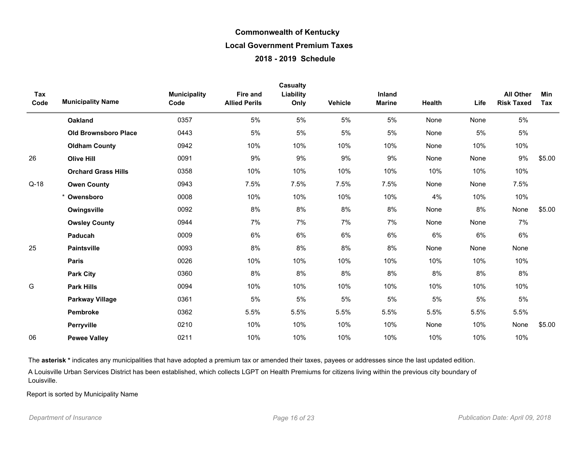| Tax    |                             |                             | Fire and             | Casualty<br>Liability |         | Inland        |        |      | <b>All Other</b>  | Min    |
|--------|-----------------------------|-----------------------------|----------------------|-----------------------|---------|---------------|--------|------|-------------------|--------|
| Code   | <b>Municipality Name</b>    | <b>Municipality</b><br>Code | <b>Allied Perils</b> | Only                  | Vehicle | <b>Marine</b> | Health | Life | <b>Risk Taxed</b> | Tax    |
|        | <b>Oakland</b>              | 0357                        | 5%                   | 5%                    | 5%      | 5%            | None   | None | 5%                |        |
|        | <b>Old Brownsboro Place</b> | 0443                        | 5%                   | 5%                    | 5%      | 5%            | None   | 5%   | 5%                |        |
|        | <b>Oldham County</b>        | 0942                        | 10%                  | 10%                   | 10%     | 10%           | None   | 10%  | 10%               |        |
| 26     | <b>Olive Hill</b>           | 0091                        | 9%                   | 9%                    | 9%      | 9%            | None   | None | 9%                | \$5.00 |
|        | <b>Orchard Grass Hills</b>  | 0358                        | 10%                  | 10%                   | 10%     | 10%           | 10%    | 10%  | 10%               |        |
| $Q-18$ | <b>Owen County</b>          | 0943                        | 7.5%                 | 7.5%                  | 7.5%    | 7.5%          | None   | None | 7.5%              |        |
|        | Owensboro                   | 0008                        | 10%                  | 10%                   | 10%     | 10%           | 4%     | 10%  | 10%               |        |
|        | Owingsville                 | 0092                        | 8%                   | 8%                    | 8%      | 8%            | None   | 8%   | None              | \$5.00 |
|        | <b>Owsley County</b>        | 0944                        | 7%                   | 7%                    | 7%      | 7%            | None   | None | 7%                |        |
|        | Paducah                     | 0009                        | 6%                   | 6%                    | 6%      | 6%            | 6%     | 6%   | 6%                |        |
| 25     | <b>Paintsville</b>          | 0093                        | 8%                   | 8%                    | 8%      | 8%            | None   | None | None              |        |
|        | <b>Paris</b>                | 0026                        | 10%                  | 10%                   | 10%     | 10%           | 10%    | 10%  | 10%               |        |
|        | <b>Park City</b>            | 0360                        | 8%                   | 8%                    | 8%      | 8%            | 8%     | 8%   | 8%                |        |
| G      | <b>Park Hills</b>           | 0094                        | 10%                  | 10%                   | 10%     | 10%           | 10%    | 10%  | 10%               |        |
|        | <b>Parkway Village</b>      | 0361                        | 5%                   | 5%                    | 5%      | 5%            | 5%     | 5%   | 5%                |        |
|        | <b>Pembroke</b>             | 0362                        | 5.5%                 | 5.5%                  | 5.5%    | 5.5%          | 5.5%   | 5.5% | 5.5%              |        |
|        | Perryville                  | 0210                        | 10%                  | 10%                   | 10%     | 10%           | None   | 10%  | None              | \$5.00 |
| 06     | <b>Pewee Valley</b>         | 0211                        | 10%                  | 10%                   | 10%     | 10%           | 10%    | 10%  | 10%               |        |

The asterisk \* indicates any municipalities that have adopted a premium tax or amended their taxes, payees or addresses since the last updated edition.

A Louisville Urban Services District has been established, which collects LGPT on Health Premiums for citizens living within the previous city boundary of Louisville.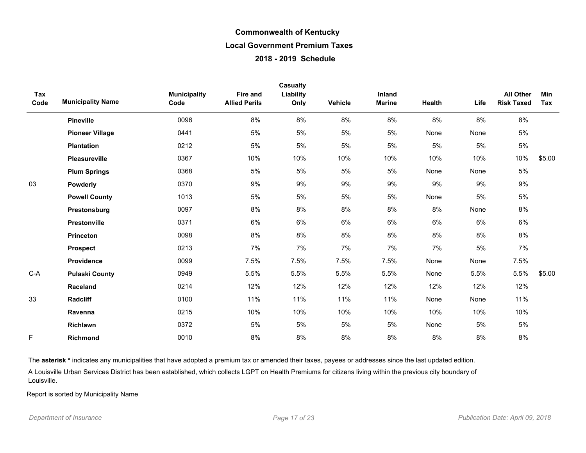| Tax<br>Code | <b>Municipality Name</b> | <b>Municipality</b><br>Code | Fire and<br><b>Allied Perils</b> | <b>Casualty</b><br>Liability<br>Only | <b>Vehicle</b> | Inland<br><b>Marine</b> | Health | Life  | <b>All Other</b><br><b>Risk Taxed</b> | Min<br>Tax |
|-------------|--------------------------|-----------------------------|----------------------------------|--------------------------------------|----------------|-------------------------|--------|-------|---------------------------------------|------------|
|             | <b>Pineville</b>         | 0096                        | 8%                               | 8%                                   | 8%             | 8%                      | 8%     | 8%    | 8%                                    |            |
|             | <b>Pioneer Village</b>   | 0441                        | 5%                               | 5%                                   | 5%             | 5%                      | None   | None  | 5%                                    |            |
|             | <b>Plantation</b>        | 0212                        | 5%                               | 5%                                   | $5\%$          | 5%                      | 5%     | 5%    | $5\%$                                 |            |
|             | Pleasureville            | 0367                        | 10%                              | 10%                                  | 10%            | 10%                     | 10%    | 10%   | 10%                                   | \$5.00     |
|             | <b>Plum Springs</b>      | 0368                        | 5%                               | 5%                                   | 5%             | 5%                      | None   | None  | $5\%$                                 |            |
| 03          | Powderly                 | 0370                        | 9%                               | 9%                                   | 9%             | 9%                      | 9%     | 9%    | 9%                                    |            |
|             | <b>Powell County</b>     | 1013                        | 5%                               | 5%                                   | 5%             | 5%                      | None   | 5%    | 5%                                    |            |
|             | Prestonsburg             | 0097                        | 8%                               | 8%                                   | 8%             | 8%                      | 8%     | None  | 8%                                    |            |
|             | Prestonville             | 0371                        | 6%                               | 6%                                   | 6%             | 6%                      | 6%     | 6%    | 6%                                    |            |
|             | Princeton                | 0098                        | 8%                               | 8%                                   | 8%             | 8%                      | 8%     | 8%    | 8%                                    |            |
|             | <b>Prospect</b>          | 0213                        | 7%                               | 7%                                   | 7%             | 7%                      | 7%     | 5%    | 7%                                    |            |
|             | Providence               | 0099                        | 7.5%                             | 7.5%                                 | 7.5%           | 7.5%                    | None   | None  | 7.5%                                  |            |
| $C-A$       | <b>Pulaski County</b>    | 0949                        | 5.5%                             | 5.5%                                 | 5.5%           | 5.5%                    | None   | 5.5%  | 5.5%                                  | \$5.00     |
|             | Raceland                 | 0214                        | 12%                              | 12%                                  | 12%            | 12%                     | 12%    | 12%   | 12%                                   |            |
| 33          | <b>Radcliff</b>          | 0100                        | 11%                              | 11%                                  | 11%            | 11%                     | None   | None  | 11%                                   |            |
|             | Ravenna                  | 0215                        | 10%                              | 10%                                  | 10%            | 10%                     | 10%    | 10%   | 10%                                   |            |
|             | Richlawn                 | 0372                        | 5%                               | 5%                                   | 5%             | 5%                      | None   | $5\%$ | $5\%$                                 |            |
| F           | Richmond                 | 0010                        | 8%                               | 8%                                   | 8%             | 8%                      | 8%     | 8%    | $8\%$                                 |            |

The asterisk \* indicates any municipalities that have adopted a premium tax or amended their taxes, payees or addresses since the last updated edition.

A Louisville Urban Services District has been established, which collects LGPT on Health Premiums for citizens living within the previous city boundary of Louisville.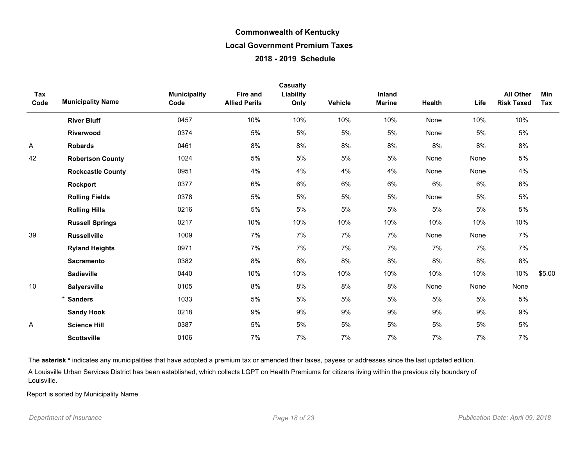| Tax<br>Code | <b>Municipality Name</b> | <b>Municipality</b><br>Code | <b>Fire and</b><br><b>Allied Perils</b> | Casualty<br>Liability<br>Only | Vehicle | Inland<br><b>Marine</b> | Health | Life | All Other<br><b>Risk Taxed</b> | Min<br>Tax |
|-------------|--------------------------|-----------------------------|-----------------------------------------|-------------------------------|---------|-------------------------|--------|------|--------------------------------|------------|
|             | <b>River Bluff</b>       | 0457                        | 10%                                     | 10%                           | 10%     | 10%                     | None   | 10%  | 10%                            |            |
|             | Riverwood                | 0374                        | 5%                                      | 5%                            | $5%$    | 5%                      | None   | 5%   | 5%                             |            |
| Α           | <b>Robards</b>           | 0461                        | 8%                                      | 8%                            | 8%      | 8%                      | 8%     | 8%   | 8%                             |            |
| 42          | <b>Robertson County</b>  | 1024                        | 5%                                      | 5%                            | 5%      | 5%                      | None   | None | 5%                             |            |
|             | <b>Rockcastle County</b> | 0951                        | 4%                                      | 4%                            | 4%      | 4%                      | None   | None | 4%                             |            |
|             | Rockport                 | 0377                        | 6%                                      | 6%                            | 6%      | 6%                      | 6%     | 6%   | 6%                             |            |
|             | <b>Rolling Fields</b>    | 0378                        | 5%                                      | 5%                            | 5%      | 5%                      | None   | 5%   | $5\%$                          |            |
|             | <b>Rolling Hills</b>     | 0216                        | 5%                                      | 5%                            | 5%      | $5%$                    | 5%     | 5%   | $5\%$                          |            |
|             | <b>Russell Springs</b>   | 0217                        | 10%                                     | 10%                           | 10%     | 10%                     | 10%    | 10%  | 10%                            |            |
| 39          | <b>Russellville</b>      | 1009                        | 7%                                      | 7%                            | 7%      | 7%                      | None   | None | 7%                             |            |
|             | <b>Ryland Heights</b>    | 0971                        | 7%                                      | 7%                            | 7%      | 7%                      | 7%     | 7%   | 7%                             |            |
|             | <b>Sacramento</b>        | 0382                        | 8%                                      | 8%                            | 8%      | 8%                      | 8%     | 8%   | $8\%$                          |            |
|             | <b>Sadieville</b>        | 0440                        | 10%                                     | 10%                           | 10%     | 10%                     | 10%    | 10%  | 10%                            | \$5.00     |
| 10          | <b>Salyersville</b>      | 0105                        | 8%                                      | 8%                            | 8%      | 8%                      | None   | None | None                           |            |
|             | *<br><b>Sanders</b>      | 1033                        | 5%                                      | 5%                            | 5%      | 5%                      | 5%     | 5%   | 5%                             |            |
|             | <b>Sandy Hook</b>        | 0218                        | 9%                                      | 9%                            | 9%      | 9%                      | 9%     | 9%   | 9%                             |            |
| Α           | <b>Science Hill</b>      | 0387                        | 5%                                      | 5%                            | 5%      | 5%                      | 5%     | 5%   | $5\%$                          |            |
|             | <b>Scottsville</b>       | 0106                        | 7%                                      | 7%                            | 7%      | 7%                      | 7%     | 7%   | 7%                             |            |

The asterisk \* indicates any municipalities that have adopted a premium tax or amended their taxes, payees or addresses since the last updated edition.

A Louisville Urban Services District has been established, which collects LGPT on Health Premiums for citizens living within the previous city boundary of Louisville.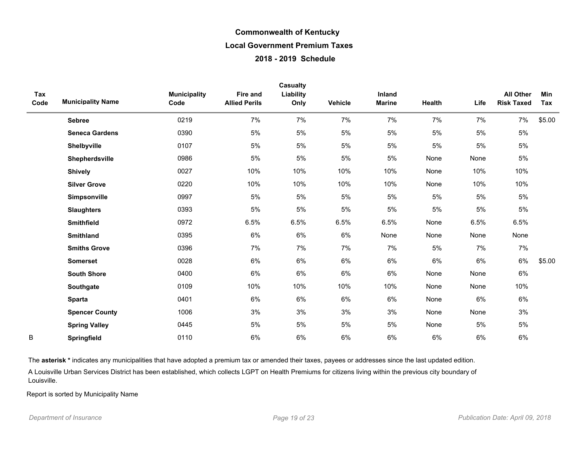| Tax<br>Code | <b>Municipality Name</b> | <b>Municipality</b><br>Code | <b>Fire and</b><br><b>Allied Perils</b> | Casualty<br>Liability<br>Only | Vehicle | Inland<br><b>Marine</b> | <b>Health</b> | Life | <b>All Other</b><br><b>Risk Taxed</b> | Min<br>Tax |
|-------------|--------------------------|-----------------------------|-----------------------------------------|-------------------------------|---------|-------------------------|---------------|------|---------------------------------------|------------|
|             | <b>Sebree</b>            | 0219                        | 7%                                      | 7%                            | 7%      | 7%                      | 7%            | 7%   | 7%                                    | \$5.00     |
|             | <b>Seneca Gardens</b>    | 0390                        | 5%                                      | 5%                            | 5%      | 5%                      | 5%            | 5%   | 5%                                    |            |
|             | Shelbyville              | 0107                        | 5%                                      | 5%                            | 5%      | 5%                      | 5%            | 5%   | 5%                                    |            |
|             | Shepherdsville           | 0986                        | 5%                                      | 5%                            | 5%      | 5%                      | None          | None | 5%                                    |            |
|             | <b>Shively</b>           | 0027                        | 10%                                     | 10%                           | 10%     | 10%                     | None          | 10%  | 10%                                   |            |
|             | <b>Silver Grove</b>      | 0220                        | 10%                                     | 10%                           | 10%     | 10%                     | None          | 10%  | 10%                                   |            |
|             | Simpsonville             | 0997                        | 5%                                      | 5%                            | 5%      | $5\%$                   | 5%            | 5%   | 5%                                    |            |
|             | <b>Slaughters</b>        | 0393                        | 5%                                      | 5%                            | 5%      | $5\%$                   | 5%            | 5%   | 5%                                    |            |
|             | Smithfield               | 0972                        | 6.5%                                    | 6.5%                          | 6.5%    | 6.5%                    | None          | 6.5% | 6.5%                                  |            |
|             | <b>Smithland</b>         | 0395                        | 6%                                      | 6%                            | 6%      | None                    | None          | None | None                                  |            |
|             | <b>Smiths Grove</b>      | 0396                        | 7%                                      | 7%                            | 7%      | 7%                      | 5%            | 7%   | 7%                                    |            |
|             | <b>Somerset</b>          | 0028                        | 6%                                      | 6%                            | 6%      | 6%                      | 6%            | 6%   | 6%                                    | \$5.00     |
|             | <b>South Shore</b>       | 0400                        | 6%                                      | 6%                            | 6%      | 6%                      | None          | None | 6%                                    |            |
|             | Southgate                | 0109                        | 10%                                     | 10%                           | 10%     | 10%                     | None          | None | 10%                                   |            |
|             | <b>Sparta</b>            | 0401                        | 6%                                      | 6%                            | 6%      | 6%                      | None          | 6%   | 6%                                    |            |
|             | <b>Spencer County</b>    | 1006                        | 3%                                      | 3%                            | 3%      | 3%                      | None          | None | 3%                                    |            |
|             | <b>Spring Valley</b>     | 0445                        | 5%                                      | 5%                            | 5%      | 5%                      | None          | 5%   | 5%                                    |            |
| B           | Springfield              | 0110                        | 6%                                      | 6%                            | 6%      | 6%                      | 6%            | 6%   | 6%                                    |            |

The asterisk \* indicates any municipalities that have adopted a premium tax or amended their taxes, payees or addresses since the last updated edition.

A Louisville Urban Services District has been established, which collects LGPT on Health Premiums for citizens living within the previous city boundary of Louisville.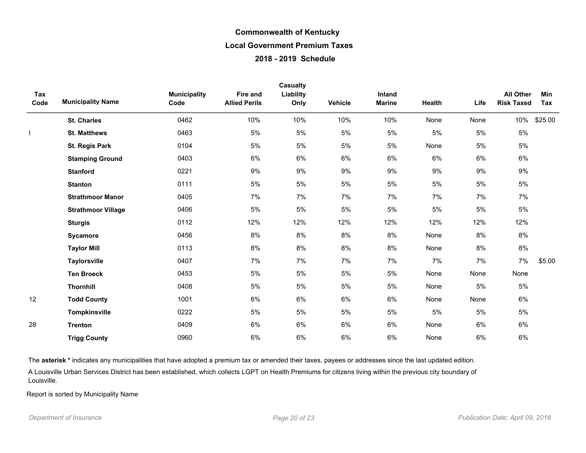| Tax<br>Code | <b>Municipality Name</b>  | <b>Municipality</b><br>Code | Fire and<br><b>Allied Perils</b> | <b>Casualty</b><br>Liability<br>Only | <b>Vehicle</b> | Inland<br><b>Marine</b> | Health | Life | <b>All Other</b><br><b>Risk Taxed</b> | Min<br>Tax |
|-------------|---------------------------|-----------------------------|----------------------------------|--------------------------------------|----------------|-------------------------|--------|------|---------------------------------------|------------|
|             | <b>St. Charles</b>        | 0462                        | 10%                              | 10%                                  | 10%            | 10%                     | None   | None | 10%                                   | \$25.00    |
|             | <b>St. Matthews</b>       | 0463                        | 5%                               | 5%                                   | 5%             | 5%                      | 5%     | 5%   | 5%                                    |            |
|             | <b>St. Regis Park</b>     | 0104                        | 5%                               | 5%                                   | 5%             | 5%                      | None   | 5%   | 5%                                    |            |
|             | <b>Stamping Ground</b>    | 0403                        | $6\%$                            | 6%                                   | 6%             | 6%                      | 6%     | 6%   | $6\%$                                 |            |
|             | <b>Stanford</b>           | 0221                        | 9%                               | 9%                                   | 9%             | 9%                      | 9%     | 9%   | 9%                                    |            |
|             | <b>Stanton</b>            | 0111                        | 5%                               | 5%                                   | 5%             | 5%                      | 5%     | 5%   | 5%                                    |            |
|             | <b>Strathmoor Manor</b>   | 0405                        | 7%                               | 7%                                   | 7%             | 7%                      | 7%     | 7%   | 7%                                    |            |
|             | <b>Strathmoor Village</b> | 0406                        | 5%                               | 5%                                   | $5%$           | 5%                      | $5%$   | 5%   | 5%                                    |            |
|             | <b>Sturgis</b>            | 0112                        | 12%                              | 12%                                  | 12%            | 12%                     | 12%    | 12%  | 12%                                   |            |
|             | Sycamore                  | 0456                        | 8%                               | 8%                                   | 8%             | 8%                      | None   | 8%   | $8\%$                                 |            |
|             | <b>Taylor Mill</b>        | 0113                        | 8%                               | 8%                                   | 8%             | 8%                      | None   | 8%   | 8%                                    |            |
|             | <b>Taylorsville</b>       | 0407                        | 7%                               | 7%                                   | 7%             | 7%                      | 7%     | 7%   | 7%                                    | \$5.00     |
|             | <b>Ten Broeck</b>         | 0453                        | 5%                               | 5%                                   | 5%             | 5%                      | None   | None | None                                  |            |
|             | <b>Thornhill</b>          | 0408                        | 5%                               | $5\%$                                | 5%             | 5%                      | None   | 5%   | 5%                                    |            |
| 12          | <b>Todd County</b>        | 1001                        | 6%                               | 6%                                   | 6%             | 6%                      | None   | None | 6%                                    |            |
|             | <b>Tompkinsville</b>      | 0222                        | 5%                               | 5%                                   | 5%             | 5%                      | 5%     | 5%   | 5%                                    |            |
| 28          | <b>Trenton</b>            | 0409                        | 6%                               | 6%                                   | 6%             | 6%                      | None   | 6%   | $6\%$                                 |            |
|             | <b>Trigg County</b>       | 0960                        | 6%                               | 6%                                   | 6%             | 6%                      | None   | 6%   | 6%                                    |            |

The asterisk \* indicates any municipalities that have adopted a premium tax or amended their taxes, payees or addresses since the last updated edition.

A Louisville Urban Services District has been established, which collects LGPT on Health Premiums for citizens living within the previous city boundary of Louisville.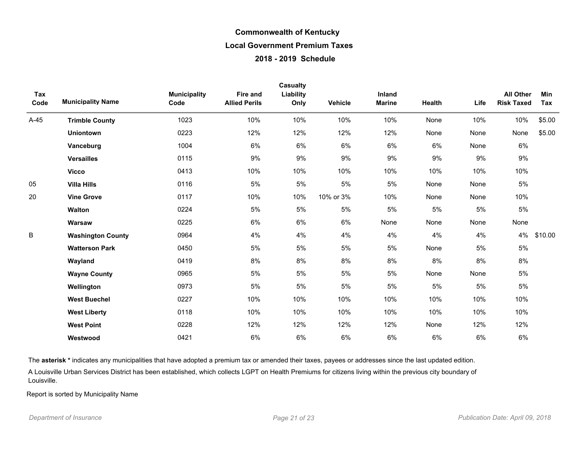| Tax<br>Code | <b>Municipality Name</b> | <b>Municipality</b><br>Code | <b>Fire and</b><br><b>Allied Perils</b> | Casualty<br>Liability<br>Only | Vehicle   | Inland<br><b>Marine</b> | Health | Life  | <b>All Other</b><br><b>Risk Taxed</b> | Min<br>Tax |
|-------------|--------------------------|-----------------------------|-----------------------------------------|-------------------------------|-----------|-------------------------|--------|-------|---------------------------------------|------------|
| $A-45$      | <b>Trimble County</b>    | 1023                        | 10%                                     | 10%                           | 10%       | 10%                     | None   | 10%   | 10%                                   | \$5.00     |
|             | <b>Uniontown</b>         | 0223                        | 12%                                     | 12%                           | 12%       | 12%                     | None   | None  | None                                  | \$5.00     |
|             | Vanceburg                | 1004                        | 6%                                      | 6%                            | 6%        | 6%                      | 6%     | None  | 6%                                    |            |
|             | <b>Versailles</b>        | 0115                        | 9%                                      | 9%                            | 9%        | 9%                      | 9%     | 9%    | 9%                                    |            |
|             | <b>Vicco</b>             | 0413                        | 10%                                     | 10%                           | 10%       | 10%                     | 10%    | 10%   | 10%                                   |            |
| 05          | <b>Villa Hills</b>       | 0116                        | 5%                                      | $5\%$                         | 5%        | $5\%$                   | None   | None  | 5%                                    |            |
| 20          | <b>Vine Grove</b>        | 0117                        | 10%                                     | 10%                           | 10% or 3% | 10%                     | None   | None  | 10%                                   |            |
|             | Walton                   | 0224                        | 5%                                      | 5%                            | 5%        | $5\%$                   | 5%     | $5\%$ | 5%                                    |            |
|             | Warsaw                   | 0225                        | 6%                                      | 6%                            | 6%        | None                    | None   | None  | None                                  |            |
| B           | <b>Washington County</b> | 0964                        | 4%                                      | 4%                            | 4%        | 4%                      | 4%     | 4%    | 4%                                    | \$10.00    |
|             | <b>Watterson Park</b>    | 0450                        | 5%                                      | 5%                            | 5%        | $5\%$                   | None   | $5\%$ | 5%                                    |            |
|             | Wayland                  | 0419                        | 8%                                      | 8%                            | 8%        | 8%                      | 8%     | 8%    | 8%                                    |            |
|             | <b>Wayne County</b>      | 0965                        | 5%                                      | 5%                            | 5%        | 5%                      | None   | None  | 5%                                    |            |
|             | Wellington               | 0973                        | 5%                                      | 5%                            | 5%        | $5\%$                   | 5%     | $5\%$ | 5%                                    |            |
|             | <b>West Buechel</b>      | 0227                        | 10%                                     | 10%                           | 10%       | 10%                     | 10%    | 10%   | 10%                                   |            |
|             | <b>West Liberty</b>      | 0118                        | 10%                                     | 10%                           | 10%       | 10%                     | 10%    | 10%   | 10%                                   |            |
|             | <b>West Point</b>        | 0228                        | 12%                                     | 12%                           | 12%       | 12%                     | None   | 12%   | 12%                                   |            |
|             | Westwood                 | 0421                        | 6%                                      | 6%                            | 6%        | 6%                      | 6%     | 6%    | 6%                                    |            |

The asterisk \* indicates any municipalities that have adopted a premium tax or amended their taxes, payees or addresses since the last updated edition.

A Louisville Urban Services District has been established, which collects LGPT on Health Premiums for citizens living within the previous city boundary of Louisville.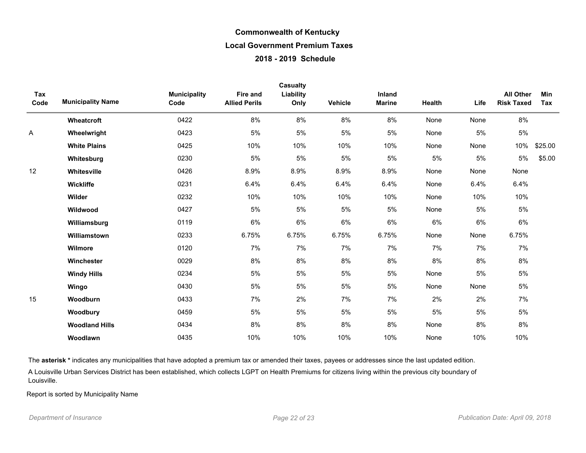| Tax<br>Code | <b>Municipality Name</b> | <b>Municipality</b><br>Code | <b>Fire and</b><br><b>Allied Perils</b> | Casualty<br>Liability<br>Only | <b>Vehicle</b> | <b>Inland</b><br><b>Marine</b> | Health | Life | <b>All Other</b><br><b>Risk Taxed</b> | Min<br>Tax |
|-------------|--------------------------|-----------------------------|-----------------------------------------|-------------------------------|----------------|--------------------------------|--------|------|---------------------------------------|------------|
|             | Wheatcroft               | 0422                        | 8%                                      | 8%                            | 8%             | 8%                             | None   | None | 8%                                    |            |
| Α           | Wheelwright              | 0423                        | 5%                                      | 5%                            | 5%             | 5%                             | None   | 5%   | 5%                                    |            |
|             | <b>White Plains</b>      | 0425                        | 10%                                     | 10%                           | 10%            | 10%                            | None   | None | 10%                                   | \$25.00    |
|             | Whitesburg               | 0230                        | $5\%$                                   | 5%                            | 5%             | 5%                             | $5\%$  | 5%   | $5\%$                                 | \$5.00     |
| 12          | Whitesville              | 0426                        | 8.9%                                    | 8.9%                          | 8.9%           | 8.9%                           | None   | None | None                                  |            |
|             | Wickliffe                | 0231                        | 6.4%                                    | 6.4%                          | 6.4%           | 6.4%                           | None   | 6.4% | 6.4%                                  |            |
|             | Wilder                   | 0232                        | 10%                                     | 10%                           | 10%            | 10%                            | None   | 10%  | 10%                                   |            |
|             | Wildwood                 | 0427                        | 5%                                      | 5%                            | 5%             | 5%                             | None   | 5%   | 5%                                    |            |
|             | Williamsburg             | 0119                        | 6%                                      | 6%                            | 6%             | 6%                             | 6%     | 6%   | 6%                                    |            |
|             | Williamstown             | 0233                        | 6.75%                                   | 6.75%                         | 6.75%          | 6.75%                          | None   | None | 6.75%                                 |            |
|             | Wilmore                  | 0120                        | 7%                                      | 7%                            | 7%             | 7%                             | 7%     | 7%   | 7%                                    |            |
|             | Winchester               | 0029                        | 8%                                      | 8%                            | 8%             | 8%                             | 8%     | 8%   | $8\%$                                 |            |
|             | <b>Windy Hills</b>       | 0234                        | 5%                                      | 5%                            | 5%             | 5%                             | None   | 5%   | 5%                                    |            |
|             | Wingo                    | 0430                        | 5%                                      | 5%                            | $5\%$          | 5%                             | None   | None | $5\%$                                 |            |
| 15          | Woodburn                 | 0433                        | 7%                                      | 2%                            | 7%             | 7%                             | 2%     | 2%   | 7%                                    |            |
|             | Woodbury                 | 0459                        | 5%                                      | 5%                            | 5%             | 5%                             | 5%     | 5%   | $5\%$                                 |            |
|             | <b>Woodland Hills</b>    | 0434                        | 8%                                      | 8%                            | 8%             | 8%                             | None   | 8%   | $8\%$                                 |            |
|             | Woodlawn                 | 0435                        | 10%                                     | 10%                           | 10%            | 10%                            | None   | 10%  | 10%                                   |            |

The asterisk \* indicates any municipalities that have adopted a premium tax or amended their taxes, payees or addresses since the last updated edition.

A Louisville Urban Services District has been established, which collects LGPT on Health Premiums for citizens living within the previous city boundary of Louisville.